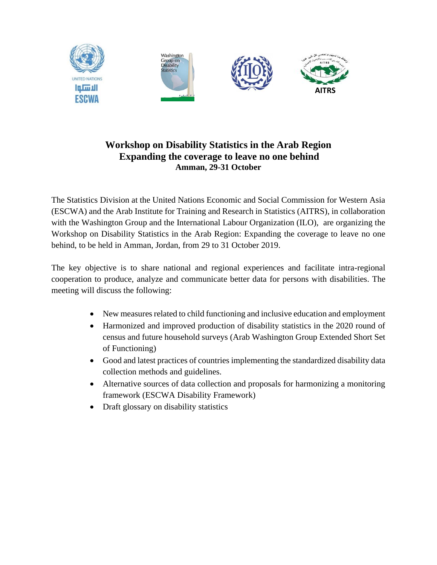

## **Workshop on Disability Statistics in the Arab Region Expanding the coverage to leave no one behind Amman, 29-31 October**

The Statistics Division at the United Nations Economic and Social Commission for Western Asia (ESCWA) and the Arab Institute for Training and Research in Statistics (AITRS), in collaboration with the Washington Group and the International Labour Organization (ILO), are organizing the Workshop on Disability Statistics in the Arab Region: Expanding the coverage to leave no one behind, to be held in Amman, Jordan, from 29 to 31 October 2019.

The key objective is to share national and regional experiences and facilitate intra-regional cooperation to produce, analyze and communicate better data for persons with disabilities. The meeting will discuss the following:

- New measures related to child functioning and inclusive education and employment
- Harmonized and improved production of disability statistics in the 2020 round of census and future household surveys (Arab Washington Group Extended Short Set of Functioning)
- Good and latest practices of countries implementing the standardized disability data collection methods and guidelines.
- Alternative sources of data collection and proposals for harmonizing a monitoring framework (ESCWA Disability Framework)
- Draft glossary on disability statistics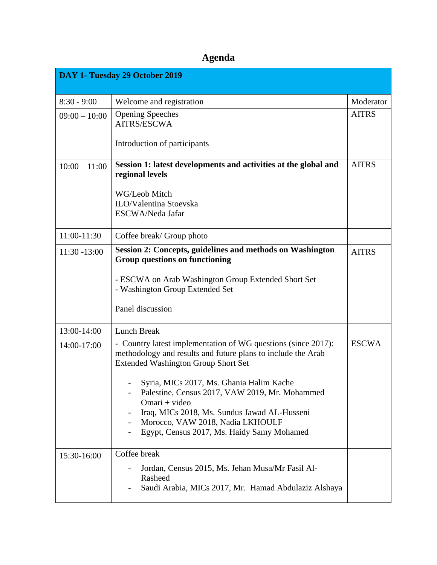# **Agenda**

| DAY 1- Tuesday 29 October 2019 |                                                                                                                                                                             |                           |  |
|--------------------------------|-----------------------------------------------------------------------------------------------------------------------------------------------------------------------------|---------------------------|--|
| $8:30 - 9:00$                  |                                                                                                                                                                             |                           |  |
|                                | Welcome and registration<br><b>Opening Speeches</b>                                                                                                                         | Moderator<br><b>AITRS</b> |  |
| $09:00 - 10:00$                | AITRS/ESCWA                                                                                                                                                                 |                           |  |
|                                | Introduction of participants                                                                                                                                                |                           |  |
| $10:00 - 11:00$                | Session 1: latest developments and activities at the global and<br>regional levels                                                                                          | <b>AITRS</b>              |  |
|                                | WG/Leob Mitch                                                                                                                                                               |                           |  |
|                                | ILO/Valentina Stoevska                                                                                                                                                      |                           |  |
|                                | ESCWA/Neda Jafar                                                                                                                                                            |                           |  |
| 11:00-11:30                    | Coffee break/ Group photo                                                                                                                                                   |                           |  |
| $11:30 - 13:00$                | Session 2: Concepts, guidelines and methods on Washington<br><b>Group questions on functioning</b>                                                                          | <b>AITRS</b>              |  |
|                                | - ESCWA on Arab Washington Group Extended Short Set<br>- Washington Group Extended Set                                                                                      |                           |  |
|                                | Panel discussion                                                                                                                                                            |                           |  |
| 13:00-14:00                    | Lunch Break                                                                                                                                                                 |                           |  |
| 14:00-17:00                    | - Country latest implementation of WG questions (since 2017):<br>methodology and results and future plans to include the Arab<br><b>Extended Washington Group Short Set</b> | <b>ESCWA</b>              |  |
|                                | Syria, MICs 2017, Ms. Ghania Halim Kache<br>Palestine, Census 2017, VAW 2019, Mr. Mohammed<br>Omari + video                                                                 |                           |  |
|                                | Iraq, MICs 2018, Ms. Sundus Jawad AL-Husseni<br>Morocco, VAW 2018, Nadia LKHOULF                                                                                            |                           |  |
|                                | Egypt, Census 2017, Ms. Haidy Samy Mohamed                                                                                                                                  |                           |  |
| 15:30-16:00                    | Coffee break                                                                                                                                                                |                           |  |
|                                | Jordan, Census 2015, Ms. Jehan Musa/Mr Fasil Al-<br>Rasheed<br>Saudi Arabia, MICs 2017, Mr. Hamad Abdulaziz Alshaya                                                         |                           |  |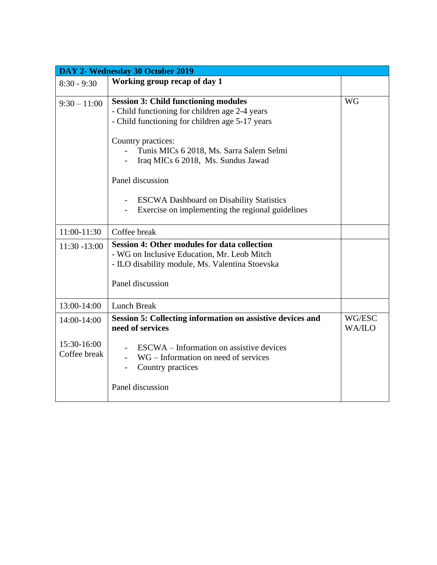| DAY 2- Wednesday 30 October 2019           |                                                                                                                                                                                                                                                                                                                                                                                     |                         |  |
|--------------------------------------------|-------------------------------------------------------------------------------------------------------------------------------------------------------------------------------------------------------------------------------------------------------------------------------------------------------------------------------------------------------------------------------------|-------------------------|--|
| $8:30 - 9:30$                              | Working group recap of day 1                                                                                                                                                                                                                                                                                                                                                        |                         |  |
| $9:30 - 11:00$                             | <b>Session 3: Child functioning modules</b><br>- Child functioning for children age 2-4 years<br>- Child functioning for children age 5-17 years<br>Country practices:<br>Tunis MICs 6 2018, Ms. Sarra Salem Selmi<br>Iraq MICs 6 2018, Ms. Sundus Jawad<br>Panel discussion<br><b>ESCWA Dashboard on Disability Statistics</b><br>Exercise on implementing the regional guidelines | <b>WG</b>               |  |
| 11:00-11:30                                | Coffee break                                                                                                                                                                                                                                                                                                                                                                        |                         |  |
| $11:30 - 13:00$                            | <b>Session 4: Other modules for data collection</b><br>- WG on Inclusive Education, Mr. Leob Mitch<br>- ILO disability module, Ms. Valentina Stoevska<br>Panel discussion                                                                                                                                                                                                           |                         |  |
| 13:00-14:00                                | <b>Lunch Break</b>                                                                                                                                                                                                                                                                                                                                                                  |                         |  |
| 14:00-14:00<br>15:30-16:00<br>Coffee break | Session 5: Collecting information on assistive devices and<br>need of services<br>ESCWA – Information on assistive devices<br>WG – Information on need of services<br>Country practices                                                                                                                                                                                             | WG/ESC<br><b>WA/ILO</b> |  |
|                                            | Panel discussion                                                                                                                                                                                                                                                                                                                                                                    |                         |  |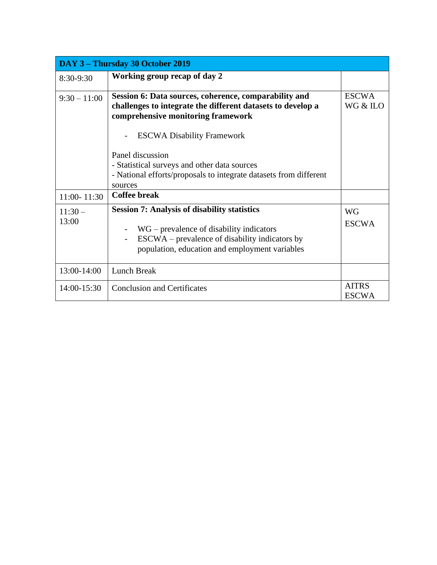| DAY 3 – Thursday 30 October 2019 |                                                                                                                                                                                                       |                              |  |
|----------------------------------|-------------------------------------------------------------------------------------------------------------------------------------------------------------------------------------------------------|------------------------------|--|
| 8:30-9:30                        | Working group recap of day 2                                                                                                                                                                          |                              |  |
| $9:30 - 11:00$                   | Session 6: Data sources, coherence, comparability and<br>challenges to integrate the different datasets to develop a<br>comprehensive monitoring framework<br><b>ESCWA Disability Framework</b>       | <b>ESCWA</b><br>WG & ILO     |  |
| 11:00-11:30                      | Panel discussion<br>- Statistical surveys and other data sources<br>- National efforts/proposals to integrate datasets from different<br>sources<br><b>Coffee break</b>                               |                              |  |
| $11:30-$<br>13:00                | <b>Session 7: Analysis of disability statistics</b><br>$WG$ – prevalence of disability indicators<br>ESCWA – prevalence of disability indicators by<br>population, education and employment variables | <b>WG</b><br><b>ESCWA</b>    |  |
| 13:00-14:00                      | Lunch Break                                                                                                                                                                                           |                              |  |
| 14:00-15:30                      | <b>Conclusion and Certificates</b>                                                                                                                                                                    | <b>AITRS</b><br><b>ESCWA</b> |  |